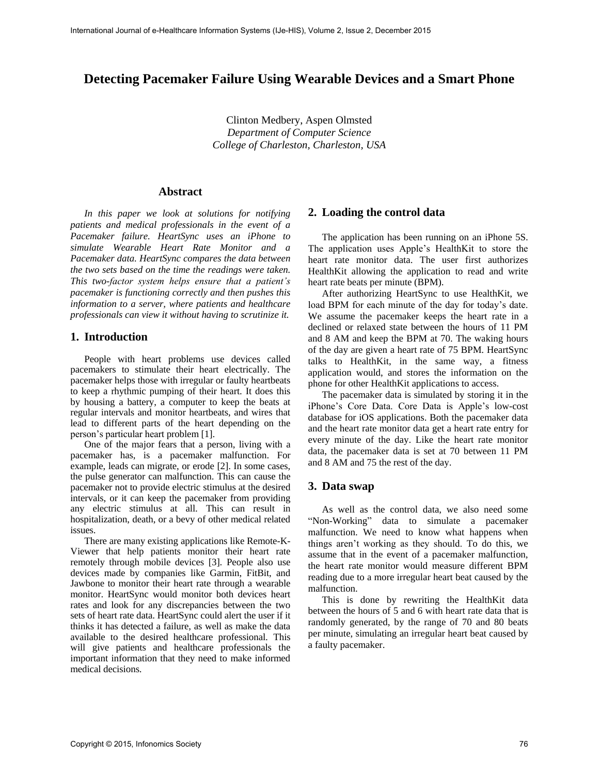# **Detecting Pacemaker Failure Using Wearable Devices and a Smart Phone**

Clinton Medbery, Aspen Olmsted *Department of Computer Science College of Charleston, Charleston, USA*

# **Abstract**

*In this paper we look at solutions for notifying patients and medical professionals in the event of a Pacemaker failure. HeartSync uses an iPhone to simulate Wearable Heart Rate Monitor and a Pacemaker data. HeartSync compares the data between the two sets based on the time the readings were taken. This two-factor system helps ensure that a patient's pacemaker is functioning correctly and then pushes this information to a server, where patients and healthcare professionals can view it without having to scrutinize it.* 

#### **1. Introduction**

People with heart problems use devices called pacemakers to stimulate their heart electrically. The pacemaker helps those with irregular or faulty heartbeats to keep a rhythmic pumping of their heart. It does this by housing a battery, a computer to keep the beats at regular intervals and monitor heartbeats, and wires that lead to different parts of the heart depending on the person's particular heart problem [1].

One of the major fears that a person, living with a pacemaker has, is a pacemaker malfunction. For example, leads can migrate, or erode [2]. In some cases, the pulse generator can malfunction. This can cause the pacemaker not to provide electric stimulus at the desired intervals, or it can keep the pacemaker from providing any electric stimulus at all. This can result in hospitalization, death, or a bevy of other medical related issues.

There are many existing applications like Remote-K-Viewer that help patients monitor their heart rate remotely through mobile devices [3]. People also use devices made by companies like Garmin, FitBit, and Jawbone to monitor their heart rate through a wearable monitor. HeartSync would monitor both devices heart rates and look for any discrepancies between the two sets of heart rate data. HeartSync could alert the user if it thinks it has detected a failure, as well as make the data available to the desired healthcare professional. This will give patients and healthcare professionals the important information that they need to make informed medical decisions.

#### **2. Loading the control data**

The application has been running on an iPhone 5S. The application uses Apple's HealthKit to store the heart rate monitor data. The user first authorizes HealthKit allowing the application to read and write heart rate beats per minute (BPM).

After authorizing HeartSync to use HealthKit, we load BPM for each minute of the day for today's date. We assume the pacemaker keeps the heart rate in a declined or relaxed state between the hours of 11 PM and 8 AM and keep the BPM at 70. The waking hours of the day are given a heart rate of 75 BPM. HeartSync talks to HealthKit, in the same way, a fitness application would, and stores the information on the phone for other HealthKit applications to access.

The pacemaker data is simulated by storing it in the iPhone's Core Data. Core Data is Apple's low-cost database for iOS applications. Both the pacemaker data and the heart rate monitor data get a heart rate entry for every minute of the day. Like the heart rate monitor data, the pacemaker data is set at 70 between 11 PM and 8 AM and 75 the rest of the day.

#### **3. Data swap**

As well as the control data, we also need some "Non-Working" data to simulate a pacemaker malfunction. We need to know what happens when things aren't working as they should. To do this, we assume that in the event of a pacemaker malfunction, the heart rate monitor would measure different BPM reading due to a more irregular heart beat caused by the malfunction.

This is done by rewriting the HealthKit data between the hours of 5 and 6 with heart rate data that is randomly generated, by the range of 70 and 80 beats per minute, simulating an irregular heart beat caused by a faulty pacemaker.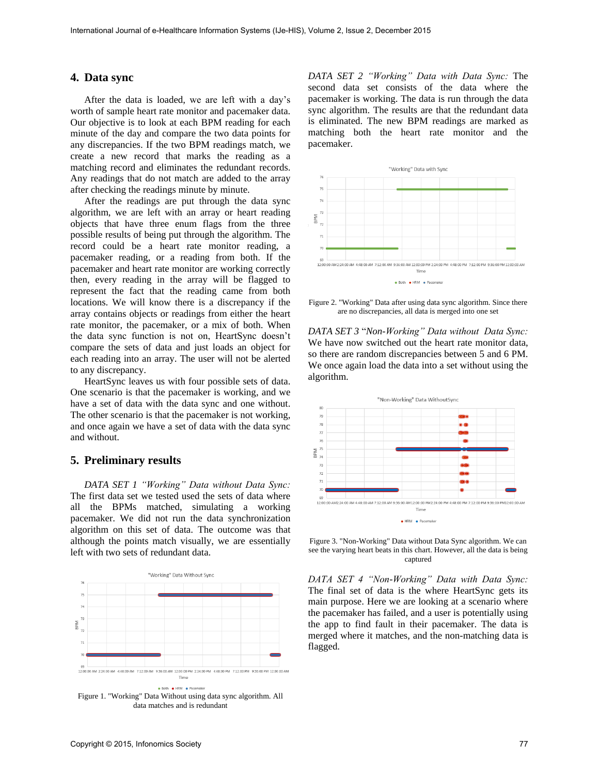# **4. Data sync**

After the data is loaded, we are left with a day's worth of sample heart rate monitor and pacemaker data. Our objective is to look at each BPM reading for each minute of the day and compare the two data points for any discrepancies. If the two BPM readings match, we create a new record that marks the reading as a matching record and eliminates the redundant records. Any readings that do not match are added to the array after checking the readings minute by minute.

After the readings are put through the data sync algorithm, we are left with an array or heart reading objects that have three enum flags from the three possible results of being put through the algorithm. The record could be a heart rate monitor reading, a pacemaker reading, or a reading from both. If the pacemaker and heart rate monitor are working correctly then, every reading in the array will be flagged to represent the fact that the reading came from both locations. We will know there is a discrepancy if the array contains objects or readings from either the heart rate monitor, the pacemaker, or a mix of both. When the data sync function is not on, HeartSync doesn't compare the sets of data and just loads an object for each reading into an array. The user will not be alerted to any discrepancy.

HeartSync leaves us with four possible sets of data. One scenario is that the pacemaker is working, and we have a set of data with the data sync and one without. The other scenario is that the pacemaker is not working, and once again we have a set of data with the data sync and without.

# **5. Preliminary results**

*DATA SET 1 "Working" Data without Data Sync:*  The first data set we tested used the sets of data where all the BPMs matched, simulating a working pacemaker. We did not run the data synchronization algorithm on this set of data. The outcome was that although the points match visually, we are essentially left with two sets of redundant data.



*DATA SET 2 "Working" Data with Data Sync:* The second data set consists of the data where the pacemaker is working. The data is run through the data sync algorithm. The results are that the redundant data is eliminated. The new BPM readings are marked as matching both the heart rate monitor and the pacemaker.



Figure 2. "Working" Data after using data sync algorithm. Since there are no discrepancies, all data is merged into one set

*DATA SET 3* "*Non-Working" Data without Data Sync:*  We have now switched out the heart rate monitor data, so there are random discrepancies between 5 and 6 PM. We once again load the data into a set without using the algorithm.



Figure 3. "Non-Working" Data without Data Sync algorithm. We can see the varying heart beats in this chart. However, all the data is being captured

*DATA SET 4 "Non-Working" Data with Data Sync:*  The final set of data is the where HeartSync gets its main purpose. Here we are looking at a scenario where the pacemaker has failed, and a user is potentially using the app to find fault in their pacemaker. The data is merged where it matches, and the non-matching data is flagged.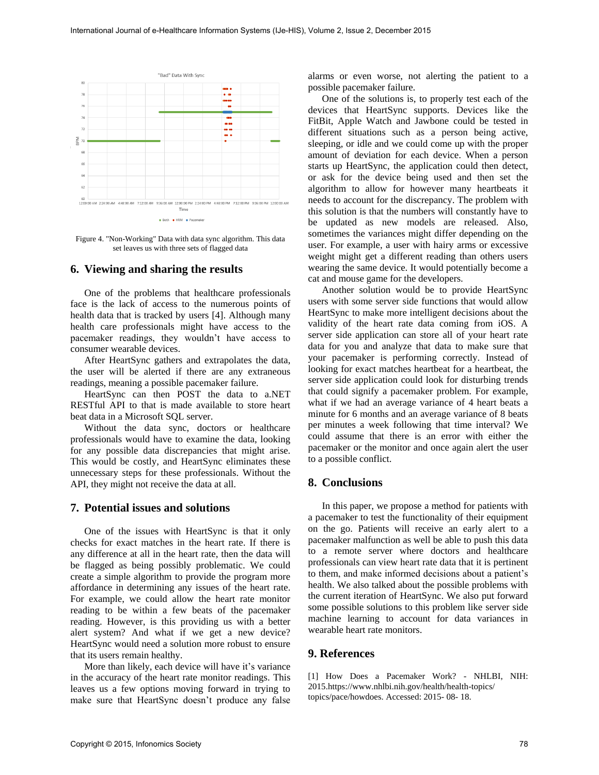

Figure 4. "Non-Working" Data with data sync algorithm. This data set leaves us with three sets of flagged data

# **6. Viewing and sharing the results**

One of the problems that healthcare professionals face is the lack of access to the numerous points of health data that is tracked by users [4]. Although many health care professionals might have access to the pacemaker readings, they wouldn't have access to consumer wearable devices.

After HeartSync gathers and extrapolates the data, the user will be alerted if there are any extraneous readings, meaning a possible pacemaker failure.

HeartSync can then POST the data to a.NET RESTful API to that is made available to store heart beat data in a Microsoft SQL server.

Without the data sync, doctors or healthcare professionals would have to examine the data, looking for any possible data discrepancies that might arise. This would be costly, and HeartSync eliminates these unnecessary steps for these professionals. Without the API, they might not receive the data at all.

# **7. Potential issues and solutions**

One of the issues with HeartSync is that it only checks for exact matches in the heart rate. If there is any difference at all in the heart rate, then the data will be flagged as being possibly problematic. We could create a simple algorithm to provide the program more affordance in determining any issues of the heart rate. For example, we could allow the heart rate monitor reading to be within a few beats of the pacemaker reading. However, is this providing us with a better alert system? And what if we get a new device? HeartSync would need a solution more robust to ensure that its users remain healthy.

More than likely, each device will have it's variance in the accuracy of the heart rate monitor readings. This leaves us a few options moving forward in trying to make sure that HeartSync doesn't produce any false

alarms or even worse, not alerting the patient to a possible pacemaker failure.

One of the solutions is, to properly test each of the devices that HeartSync supports. Devices like the FitBit, Apple Watch and Jawbone could be tested in different situations such as a person being active, sleeping, or idle and we could come up with the proper amount of deviation for each device. When a person starts up HeartSync, the application could then detect, or ask for the device being used and then set the algorithm to allow for however many heartbeats it needs to account for the discrepancy. The problem with this solution is that the numbers will constantly have to be updated as new models are released. Also, sometimes the variances might differ depending on the user. For example, a user with hairy arms or excessive weight might get a different reading than others users wearing the same device. It would potentially become a cat and mouse game for the developers.

Another solution would be to provide HeartSync users with some server side functions that would allow HeartSync to make more intelligent decisions about the validity of the heart rate data coming from iOS. A server side application can store all of your heart rate data for you and analyze that data to make sure that your pacemaker is performing correctly. Instead of looking for exact matches heartbeat for a heartbeat, the server side application could look for disturbing trends that could signify a pacemaker problem. For example, what if we had an average variance of 4 heart beats a minute for 6 months and an average variance of 8 beats per minutes a week following that time interval? We could assume that there is an error with either the pacemaker or the monitor and once again alert the user to a possible conflict.

#### **8. Conclusions**

In this paper, we propose a method for patients with a pacemaker to test the functionality of their equipment on the go. Patients will receive an early alert to a pacemaker malfunction as well be able to push this data to a remote server where doctors and healthcare professionals can view heart rate data that it is pertinent to them, and make informed decisions about a patient's health. We also talked about the possible problems with the current iteration of HeartSync. We also put forward some possible solutions to this problem like server side machine learning to account for data variances in wearable heart rate monitors.

#### **9. References**

[1] How Does a Pacemaker Work? - NHLBI, NIH: 2015.https://www.nhlbi.nih.gov/health/health-topics/ topics/pace/howdoes. Accessed: 2015- 08- 18.